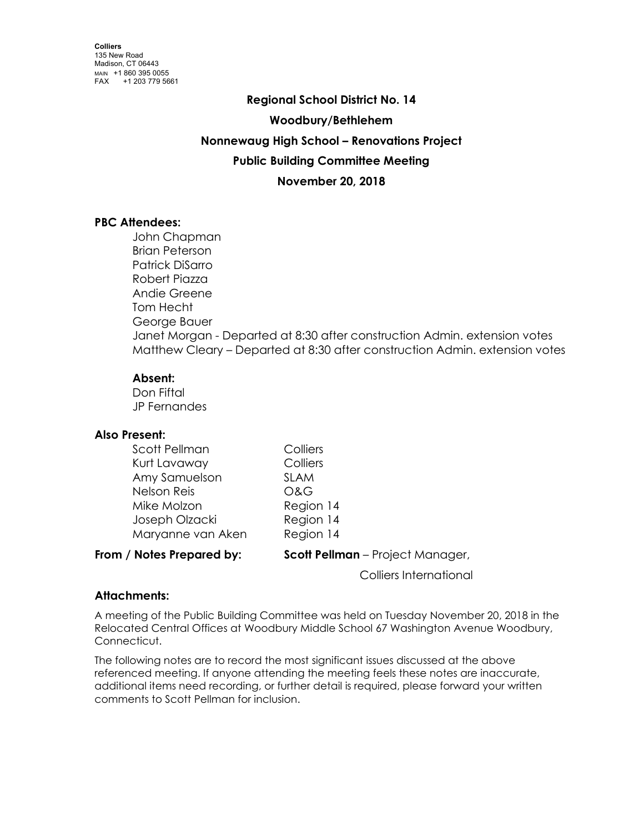# **Regional School District No. 14 Woodbury/Bethlehem Nonnewaug High School – Renovations Project Public Building Committee Meeting November 20, 2018**

# **PBC Attendees:**

John Chapman Brian Peterson Patrick DiSarro Robert Piazza Andie Greene Tom Hecht George Bauer Janet Morgan - Departed at 8:30 after construction Admin. extension votes Matthew Cleary – Departed at 8:30 after construction Admin. extension votes

## **Absent:**

Don Fiftal JP Fernandes

## **Also Present:**

| Scott Pellman      | Colliers    |
|--------------------|-------------|
| Kurt Lavaway       | Colliers    |
| Amy Samuelson      | <b>SLAM</b> |
| <b>Nelson Reis</b> | O&G         |
| Mike Molzon        | Region 14   |
| Joseph Olzacki     | Region 14   |
| Maryanne van Aken  | Region 14   |
|                    |             |

**From / Notes Prepared by: Scott Pellman** – Project Manager,

Colliers International

# **Attachments:**

A meeting of the Public Building Committee was held on Tuesday November 20, 2018 in the Relocated Central Offices at Woodbury Middle School 67 Washington Avenue Woodbury, Connecticut.

The following notes are to record the most significant issues discussed at the above referenced meeting. If anyone attending the meeting feels these notes are inaccurate, additional items need recording, or further detail is required, please forward your written comments to Scott Pellman for inclusion.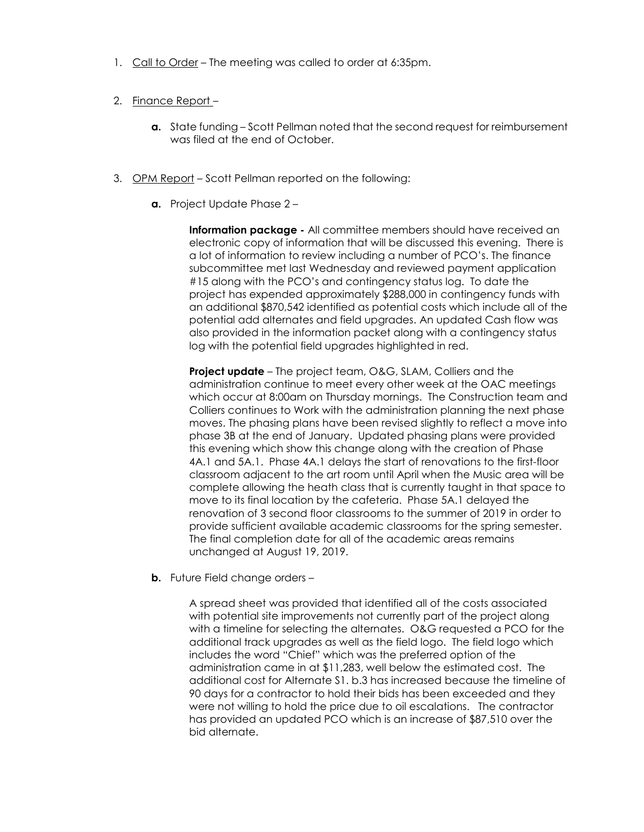- 1. Call to Order The meeting was called to order at 6:35pm.
- 2. Finance Report
	- **a.** State funding Scott Pellman noted that the second request for reimbursement was filed at the end of October.
- 3. OPM Report Scott Pellman reported on the following:
	- **a.** Project Update Phase 2 –

**Information package -** All committee members should have received an electronic copy of information that will be discussed this evening. There is a lot of information to review including a number of PCO's. The finance subcommittee met last Wednesday and reviewed payment application #15 along with the PCO's and contingency status log. To date the project has expended approximately \$288,000 in contingency funds with an additional \$870,542 identified as potential costs which include all of the potential add alternates and field upgrades. An updated Cash flow was also provided in the information packet along with a contingency status log with the potential field upgrades highlighted in red.

**Project update** – The project team, O&G, SLAM, Colliers and the administration continue to meet every other week at the OAC meetings which occur at 8:00am on Thursday mornings. The Construction team and Colliers continues to Work with the administration planning the next phase moves. The phasing plans have been revised slightly to reflect a move into phase 3B at the end of January. Updated phasing plans were provided this evening which show this change along with the creation of Phase 4A.1 and 5A.1. Phase 4A.1 delays the start of renovations to the first-floor classroom adjacent to the art room until April when the Music area will be complete allowing the heath class that is currently taught in that space to move to its final location by the cafeteria. Phase 5A.1 delayed the renovation of 3 second floor classrooms to the summer of 2019 in order to provide sufficient available academic classrooms for the spring semester. The final completion date for all of the academic areas remains unchanged at August 19, 2019.

**b.** Future Field change orders -

A spread sheet was provided that identified all of the costs associated with potential site improvements not currently part of the project along with a timeline for selecting the alternates. O&G requested a PCO for the additional track upgrades as well as the field logo. The field logo which includes the word "Chief" which was the preferred option of the administration came in at \$11,283, well below the estimated cost. The additional cost for Alternate S1. b.3 has increased because the timeline of 90 days for a contractor to hold their bids has been exceeded and they were not willing to hold the price due to oil escalations. The contractor has provided an updated PCO which is an increase of \$87,510 over the bid alternate.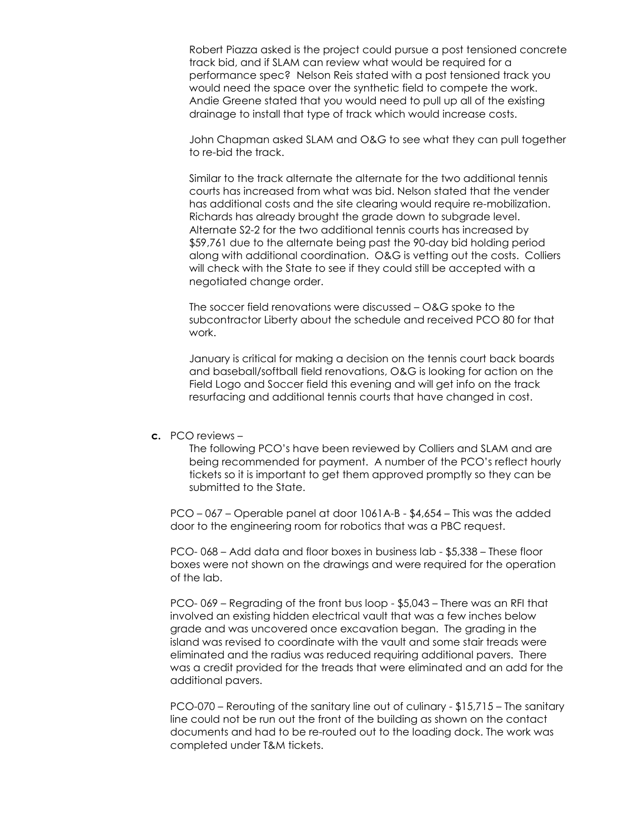Robert Piazza asked is the project could pursue a post tensioned concrete track bid, and if SLAM can review what would be required for a performance spec? Nelson Reis stated with a post tensioned track you would need the space over the synthetic field to compete the work. Andie Greene stated that you would need to pull up all of the existing drainage to install that type of track which would increase costs.

John Chapman asked SLAM and O&G to see what they can pull together to re-bid the track.

Similar to the track alternate the alternate for the two additional tennis courts has increased from what was bid. Nelson stated that the vender has additional costs and the site clearing would require re-mobilization. Richards has already brought the grade down to subgrade level. Alternate S2-2 for the two additional tennis courts has increased by \$59,761 due to the alternate being past the 90-day bid holding period along with additional coordination. O&G is vetting out the costs. Colliers will check with the State to see if they could still be accepted with a negotiated change order.

The soccer field renovations were discussed – O&G spoke to the subcontractor Liberty about the schedule and received PCO 80 for that work.

January is critical for making a decision on the tennis court back boards and baseball/softball field renovations, O&G is looking for action on the Field Logo and Soccer field this evening and will get info on the track resurfacing and additional tennis courts that have changed in cost.

#### **c.** PCO reviews –

The following PCO's have been reviewed by Colliers and SLAM and are being recommended for payment. A number of the PCO's reflect hourly tickets so it is important to get them approved promptly so they can be submitted to the State.

PCO – 067 – Operable panel at door 1061A-B - \$4,654 – This was the added door to the engineering room for robotics that was a PBC request.

PCO- 068 – Add data and floor boxes in business lab - \$5,338 – These floor boxes were not shown on the drawings and were required for the operation of the lab.

PCO- 069 – Regrading of the front bus loop - \$5,043 – There was an RFI that involved an existing hidden electrical vault that was a few inches below grade and was uncovered once excavation began. The grading in the island was revised to coordinate with the vault and some stair treads were eliminated and the radius was reduced requiring additional pavers. There was a credit provided for the treads that were eliminated and an add for the additional pavers.

PCO-070 – Rerouting of the sanitary line out of culinary - \$15,715 – The sanitary line could not be run out the front of the building as shown on the contact documents and had to be re-routed out to the loading dock. The work was completed under T&M tickets.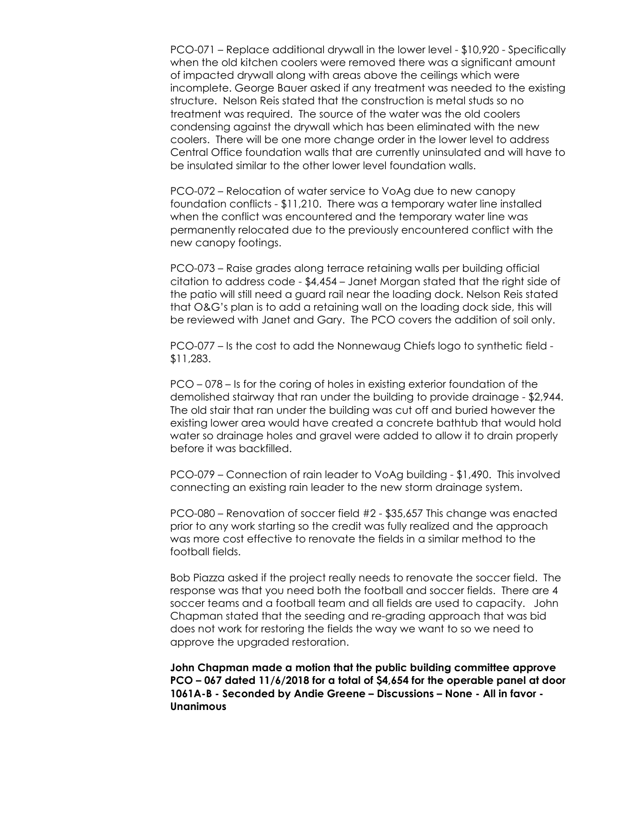PCO-071 – Replace additional drywall in the lower level - \$10,920 - Specifically when the old kitchen coolers were removed there was a significant amount of impacted drywall along with areas above the ceilings which were incomplete. George Bauer asked if any treatment was needed to the existing structure. Nelson Reis stated that the construction is metal studs so no treatment was required. The source of the water was the old coolers condensing against the drywall which has been eliminated with the new coolers. There will be one more change order in the lower level to address Central Office foundation walls that are currently uninsulated and will have to be insulated similar to the other lower level foundation walls.

PCO-072 – Relocation of water service to VoAg due to new canopy foundation conflicts - \$11,210. There was a temporary water line installed when the conflict was encountered and the temporary water line was permanently relocated due to the previously encountered conflict with the new canopy footings.

PCO-073 – Raise grades along terrace retaining walls per building official citation to address code - \$4,454 – Janet Morgan stated that the right side of the patio will still need a guard rail near the loading dock. Nelson Reis stated that O&G's plan is to add a retaining wall on the loading dock side, this will be reviewed with Janet and Gary. The PCO covers the addition of soil only.

PCO-077 – Is the cost to add the Nonnewaug Chiefs logo to synthetic field - \$11,283.

PCO – 078 – Is for the coring of holes in existing exterior foundation of the demolished stairway that ran under the building to provide drainage - \$2,944. The old stair that ran under the building was cut off and buried however the existing lower area would have created a concrete bathtub that would hold water so drainage holes and gravel were added to allow it to drain properly before it was backfilled.

PCO-079 – Connection of rain leader to VoAg building - \$1,490. This involved connecting an existing rain leader to the new storm drainage system.

PCO-080 – Renovation of soccer field #2 - \$35,657 This change was enacted prior to any work starting so the credit was fully realized and the approach was more cost effective to renovate the fields in a similar method to the football fields.

Bob Piazza asked if the project really needs to renovate the soccer field. The response was that you need both the football and soccer fields. There are 4 soccer teams and a football team and all fields are used to capacity. John Chapman stated that the seeding and re-grading approach that was bid does not work for restoring the fields the way we want to so we need to approve the upgraded restoration.

**John Chapman made a motion that the public building committee approve PCO – 067 dated 11/6/2018 for a total of \$4,654 for the operable panel at door 1061A-B - Seconded by Andie Greene – Discussions – None - All in favor - Unanimous**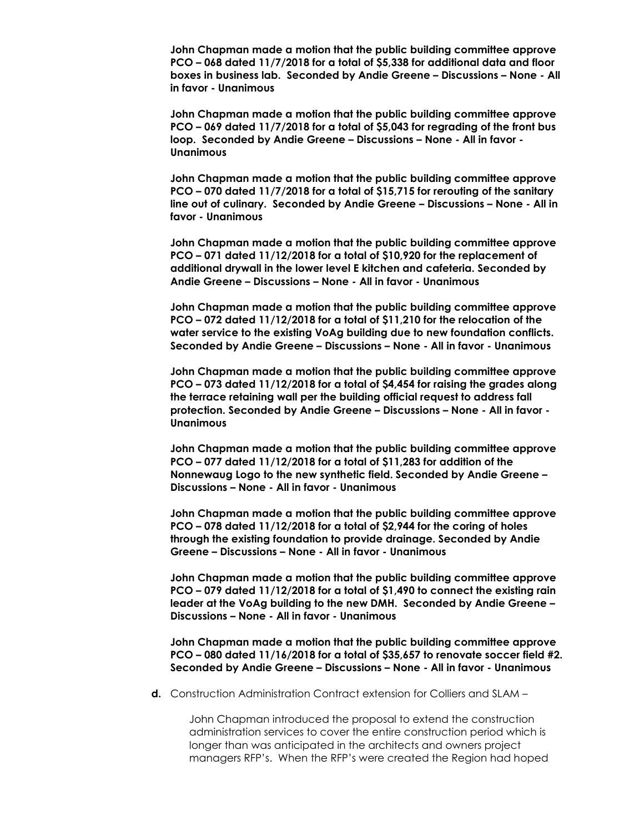**John Chapman made a motion that the public building committee approve PCO – 068 dated 11/7/2018 for a total of \$5,338 for additional data and floor boxes in business lab. Seconded by Andie Greene – Discussions – None - All in favor - Unanimous**

**John Chapman made a motion that the public building committee approve PCO – 069 dated 11/7/2018 for a total of \$5,043 for regrading of the front bus loop. Seconded by Andie Greene – Discussions – None - All in favor - Unanimous**

**John Chapman made a motion that the public building committee approve PCO – 070 dated 11/7/2018 for a total of \$15,715 for rerouting of the sanitary line out of culinary. Seconded by Andie Greene – Discussions – None - All in favor - Unanimous**

**John Chapman made a motion that the public building committee approve PCO – 071 dated 11/12/2018 for a total of \$10,920 for the replacement of additional drywall in the lower level E kitchen and cafeteria. Seconded by Andie Greene – Discussions – None - All in favor - Unanimous**

**John Chapman made a motion that the public building committee approve PCO – 072 dated 11/12/2018 for a total of \$11,210 for the relocation of the water service to the existing VoAg building due to new foundation conflicts. Seconded by Andie Greene – Discussions – None - All in favor - Unanimous**

**John Chapman made a motion that the public building committee approve PCO – 073 dated 11/12/2018 for a total of \$4,454 for raising the grades along the terrace retaining wall per the building official request to address fall protection. Seconded by Andie Greene – Discussions – None - All in favor - Unanimous**

**John Chapman made a motion that the public building committee approve PCO – 077 dated 11/12/2018 for a total of \$11,283 for addition of the Nonnewaug Logo to the new synthetic field. Seconded by Andie Greene – Discussions – None - All in favor - Unanimous**

**John Chapman made a motion that the public building committee approve PCO – 078 dated 11/12/2018 for a total of \$2,944 for the coring of holes through the existing foundation to provide drainage. Seconded by Andie Greene – Discussions – None - All in favor - Unanimous**

**John Chapman made a motion that the public building committee approve PCO – 079 dated 11/12/2018 for a total of \$1,490 to connect the existing rain leader at the VoAg building to the new DMH. Seconded by Andie Greene – Discussions – None - All in favor - Unanimous**

**John Chapman made a motion that the public building committee approve PCO – 080 dated 11/16/2018 for a total of \$35,657 to renovate soccer field #2. Seconded by Andie Greene – Discussions – None - All in favor - Unanimous**

**d.** Construction Administration Contract extension for Colliers and SLAM –

John Chapman introduced the proposal to extend the construction administration services to cover the entire construction period which is longer than was anticipated in the architects and owners project managers RFP's. When the RFP's were created the Region had hoped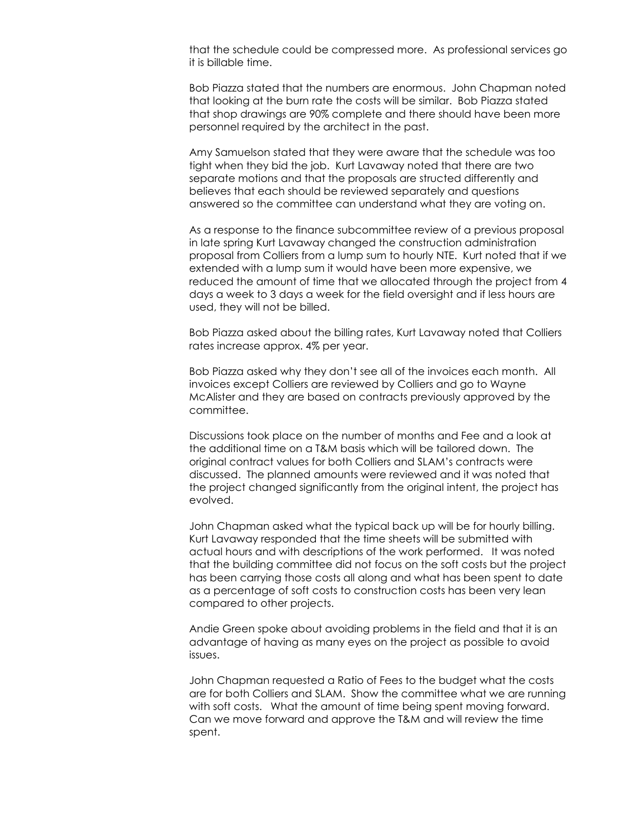that the schedule could be compressed more. As professional services go it is billable time.

Bob Piazza stated that the numbers are enormous. John Chapman noted that looking at the burn rate the costs will be similar. Bob Piazza stated that shop drawings are 90% complete and there should have been more personnel required by the architect in the past.

Amy Samuelson stated that they were aware that the schedule was too tight when they bid the job. Kurt Lavaway noted that there are two separate motions and that the proposals are structed differently and believes that each should be reviewed separately and questions answered so the committee can understand what they are voting on.

As a response to the finance subcommittee review of a previous proposal in late spring Kurt Lavaway changed the construction administration proposal from Colliers from a lump sum to hourly NTE. Kurt noted that if we extended with a lump sum it would have been more expensive, we reduced the amount of time that we allocated through the project from 4 days a week to 3 days a week for the field oversight and if less hours are used, they will not be billed.

Bob Piazza asked about the billing rates, Kurt Lavaway noted that Colliers rates increase approx. 4% per year.

Bob Piazza asked why they don't see all of the invoices each month. All invoices except Colliers are reviewed by Colliers and go to Wayne McAlister and they are based on contracts previously approved by the committee.

Discussions took place on the number of months and Fee and a look at the additional time on a T&M basis which will be tailored down. The original contract values for both Colliers and SLAM's contracts were discussed. The planned amounts were reviewed and it was noted that the project changed significantly from the original intent, the project has evolved.

John Chapman asked what the typical back up will be for hourly billing. Kurt Lavaway responded that the time sheets will be submitted with actual hours and with descriptions of the work performed. It was noted that the building committee did not focus on the soft costs but the project has been carrying those costs all along and what has been spent to date as a percentage of soft costs to construction costs has been very lean compared to other projects.

Andie Green spoke about avoiding problems in the field and that it is an advantage of having as many eyes on the project as possible to avoid issues.

John Chapman requested a Ratio of Fees to the budget what the costs are for both Colliers and SLAM. Show the committee what we are running with soft costs. What the amount of time being spent moving forward. Can we move forward and approve the T&M and will review the time spent.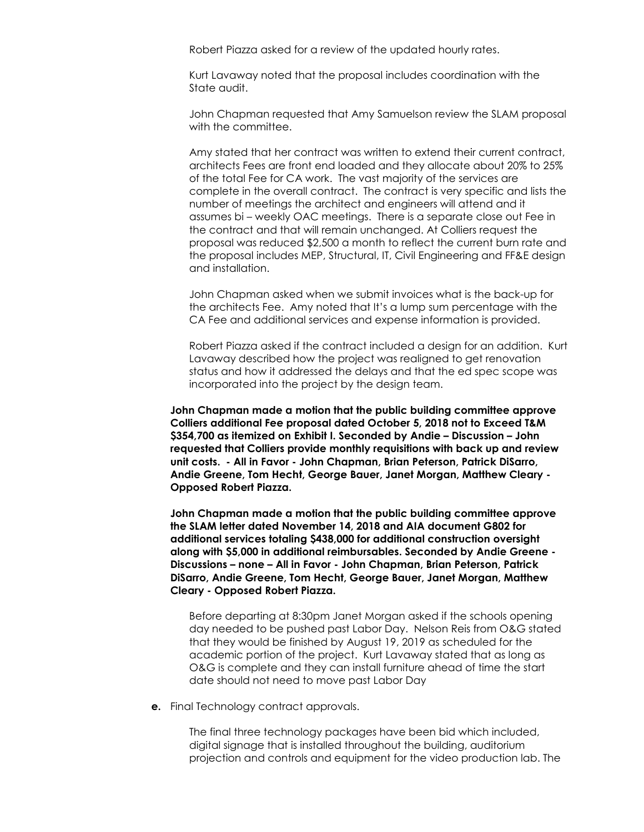Robert Piazza asked for a review of the updated hourly rates.

Kurt Lavaway noted that the proposal includes coordination with the State audit.

John Chapman requested that Amy Samuelson review the SLAM proposal with the committee.

Amy stated that her contract was written to extend their current contract, architects Fees are front end loaded and they allocate about 20% to 25% of the total Fee for CA work. The vast majority of the services are complete in the overall contract. The contract is very specific and lists the number of meetings the architect and engineers will attend and it assumes bi – weekly OAC meetings. There is a separate close out Fee in the contract and that will remain unchanged. At Colliers request the proposal was reduced \$2,500 a month to reflect the current burn rate and the proposal includes MEP, Structural, IT, Civil Engineering and FF&E design and installation.

John Chapman asked when we submit invoices what is the back-up for the architects Fee. Amy noted that It's a lump sum percentage with the CA Fee and additional services and expense information is provided.

Robert Piazza asked if the contract included a design for an addition. Kurt Lavaway described how the project was realigned to get renovation status and how it addressed the delays and that the ed spec scope was incorporated into the project by the design team.

**John Chapman made a motion that the public building committee approve Colliers additional Fee proposal dated October 5, 2018 not to Exceed T&M \$354,700 as itemized on Exhibit I. Seconded by Andie – Discussion – John requested that Colliers provide monthly requisitions with back up and review unit costs. - All in Favor - John Chapman, Brian Peterson, Patrick DiSarro, Andie Greene, Tom Hecht, George Bauer, Janet Morgan, Matthew Cleary - Opposed Robert Piazza.**

**John Chapman made a motion that the public building committee approve the SLAM letter dated November 14, 2018 and AIA document G802 for additional services totaling \$438,000 for additional construction oversight along with \$5,000 in additional reimbursables. Seconded by Andie Greene - Discussions – none – All in Favor - John Chapman, Brian Peterson, Patrick DiSarro, Andie Greene, Tom Hecht, George Bauer, Janet Morgan, Matthew Cleary - Opposed Robert Piazza.**

Before departing at 8:30pm Janet Morgan asked if the schools opening day needed to be pushed past Labor Day. Nelson Reis from O&G stated that they would be finished by August 19, 2019 as scheduled for the academic portion of the project. Kurt Lavaway stated that as long as O&G is complete and they can install furniture ahead of time the start date should not need to move past Labor Day

**e.** Final Technology contract approvals.

The final three technology packages have been bid which included, digital signage that is installed throughout the building, auditorium projection and controls and equipment for the video production lab. The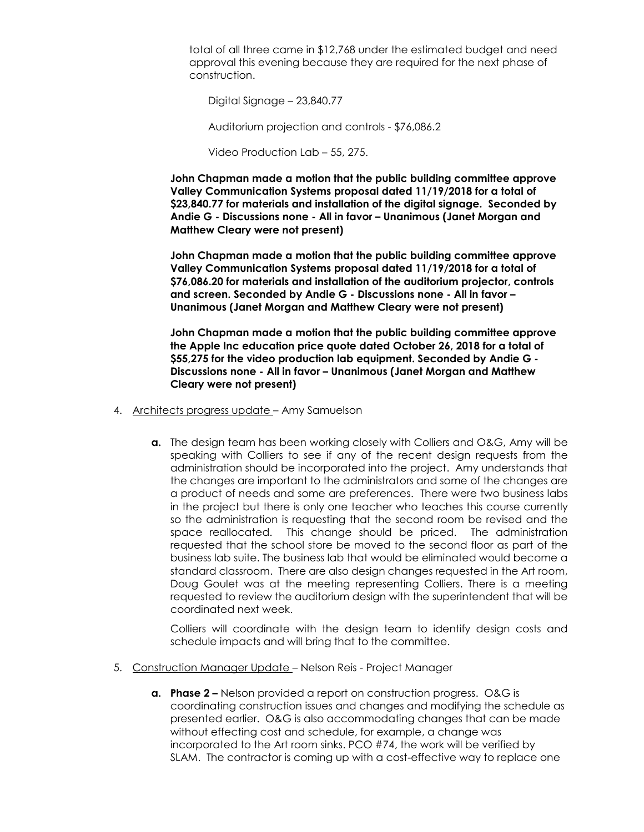total of all three came in \$12,768 under the estimated budget and need approval this evening because they are required for the next phase of construction.

Digital Signage – 23,840.77

Auditorium projection and controls - \$76,086.2

Video Production Lab – 55, 275.

**John Chapman made a motion that the public building committee approve Valley Communication Systems proposal dated 11/19/2018 for a total of \$23,840.77 for materials and installation of the digital signage. Seconded by Andie G - Discussions none - All in favor – Unanimous (Janet Morgan and Matthew Cleary were not present)**

**John Chapman made a motion that the public building committee approve Valley Communication Systems proposal dated 11/19/2018 for a total of \$76,086.20 for materials and installation of the auditorium projector, controls and screen. Seconded by Andie G - Discussions none - All in favor – Unanimous (Janet Morgan and Matthew Cleary were not present)**

**John Chapman made a motion that the public building committee approve the Apple Inc education price quote dated October 26, 2018 for a total of \$55,275 for the video production lab equipment. Seconded by Andie G - Discussions none - All in favor – Unanimous (Janet Morgan and Matthew Cleary were not present)**

- 4. Architects progress update Amy Samuelson
	- **a.** The design team has been working closely with Colliers and O&G, Amy will be speaking with Colliers to see if any of the recent design requests from the administration should be incorporated into the project. Amy understands that the changes are important to the administrators and some of the changes are a product of needs and some are preferences. There were two business labs in the project but there is only one teacher who teaches this course currently so the administration is requesting that the second room be revised and the space reallocated. This change should be priced. The administration requested that the school store be moved to the second floor as part of the business lab suite. The business lab that would be eliminated would become a standard classroom. There are also design changes requested in the Art room, Doug Goulet was at the meeting representing Colliers. There is a meeting requested to review the auditorium design with the superintendent that will be coordinated next week.

Colliers will coordinate with the design team to identify design costs and schedule impacts and will bring that to the committee.

- 5. Construction Manager Update Nelson Reis Project Manager
	- **a. Phase 2 –** Nelson provided a report on construction progress. O&G is coordinating construction issues and changes and modifying the schedule as presented earlier. O&G is also accommodating changes that can be made without effecting cost and schedule, for example, a change was incorporated to the Art room sinks. PCO #74, the work will be verified by SLAM. The contractor is coming up with a cost-effective way to replace one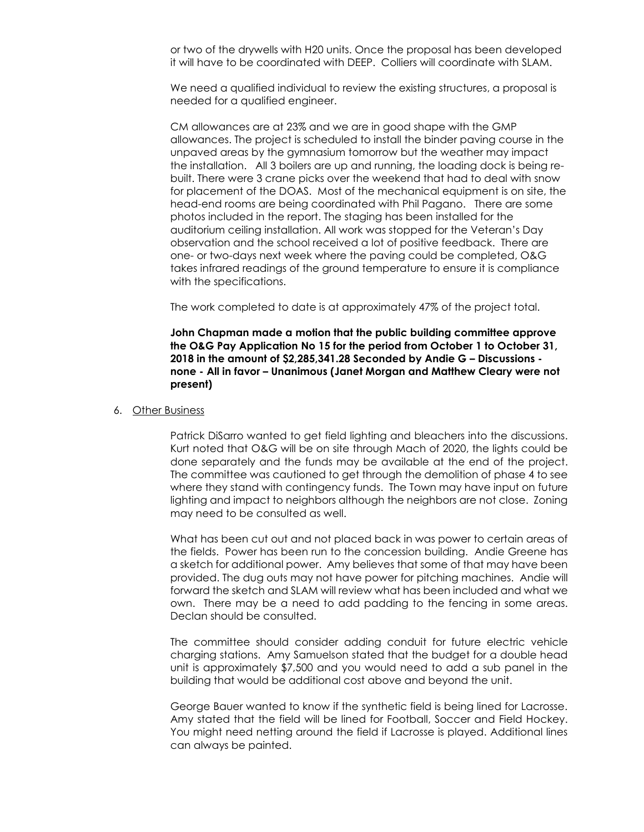or two of the drywells with H20 units. Once the proposal has been developed it will have to be coordinated with DEEP. Colliers will coordinate with SLAM.

We need a qualified individual to review the existing structures, a proposal is needed for a qualified engineer.

CM allowances are at 23% and we are in good shape with the GMP allowances. The project is scheduled to install the binder paving course in the unpaved areas by the gymnasium tomorrow but the weather may impact the installation. All 3 boilers are up and running, the loading dock is being rebuilt. There were 3 crane picks over the weekend that had to deal with snow for placement of the DOAS. Most of the mechanical equipment is on site, the head-end rooms are being coordinated with Phil Pagano. There are some photos included in the report. The staging has been installed for the auditorium ceiling installation. All work was stopped for the Veteran's Day observation and the school received a lot of positive feedback. There are one- or two-days next week where the paving could be completed, O&G takes infrared readings of the ground temperature to ensure it is compliance with the specifications.

The work completed to date is at approximately 47% of the project total.

**John Chapman made a motion that the public building committee approve the O&G Pay Application No 15 for the period from October 1 to October 31, 2018 in the amount of \$2,285,341.28 Seconded by Andie G – Discussions none - All in favor – Unanimous (Janet Morgan and Matthew Cleary were not present)**

#### 6. Other Business

Patrick DiSarro wanted to get field lighting and bleachers into the discussions. Kurt noted that O&G will be on site through Mach of 2020, the lights could be done separately and the funds may be available at the end of the project. The committee was cautioned to get through the demolition of phase 4 to see where they stand with contingency funds. The Town may have input on future lighting and impact to neighbors although the neighbors are not close. Zoning may need to be consulted as well.

What has been cut out and not placed back in was power to certain areas of the fields. Power has been run to the concession building. Andie Greene has a sketch for additional power. Amy believes that some of that may have been provided. The dug outs may not have power for pitching machines. Andie will forward the sketch and SLAM will review what has been included and what we own. There may be a need to add padding to the fencing in some areas. Declan should be consulted.

The committee should consider adding conduit for future electric vehicle charging stations. Amy Samuelson stated that the budget for a double head unit is approximately \$7,500 and you would need to add a sub panel in the building that would be additional cost above and beyond the unit.

George Bauer wanted to know if the synthetic field is being lined for Lacrosse. Amy stated that the field will be lined for Football, Soccer and Field Hockey. You might need netting around the field if Lacrosse is played. Additional lines can always be painted.